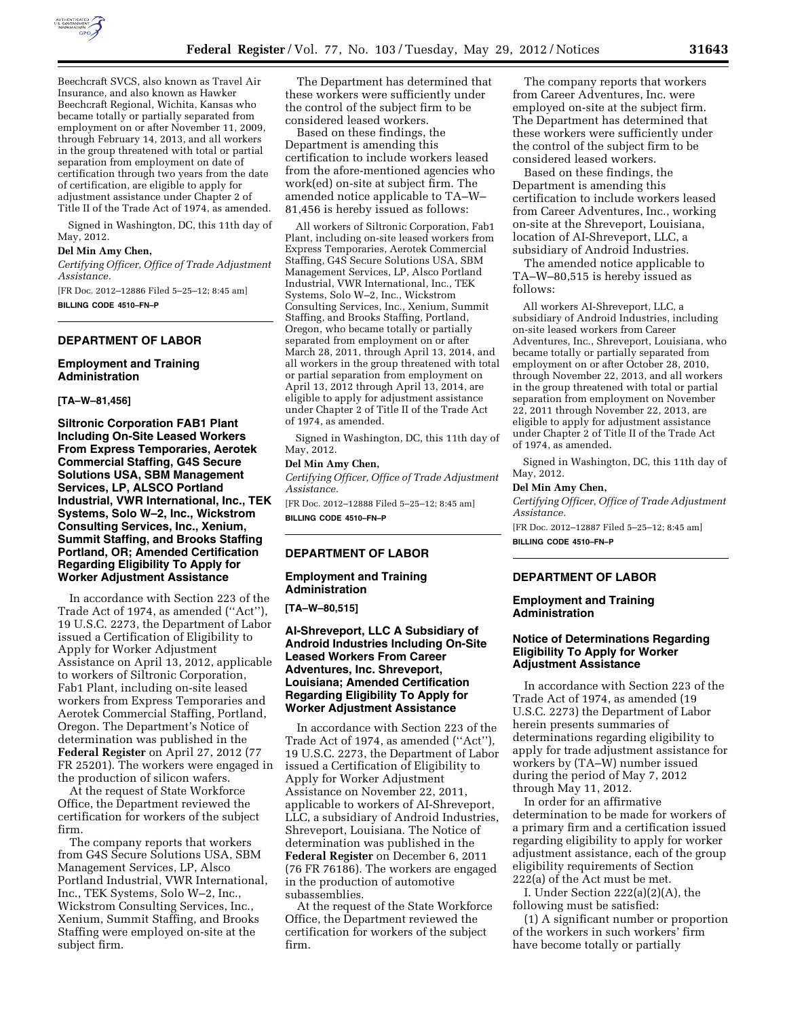

Beechcraft SVCS, also known as Travel Air Insurance, and also known as Hawker Beechcraft Regional, Wichita, Kansas who became totally or partially separated from employment on or after November 11, 2009, through February 14, 2013, and all workers in the group threatened with total or partial separation from employment on date of certification through two years from the date of certification, are eligible to apply for adjustment assistance under Chapter 2 of Title II of the Trade Act of 1974, as amended.

Signed in Washington, DC, this 11th day of May, 2012.

#### **Del Min Amy Chen,**

*Certifying Officer, Office of Trade Adjustment Assistance.* 

[FR Doc. 2012–12886 Filed 5–25–12; 8:45 am] **BILLING CODE 4510–FN–P** 

#### **DEPARTMENT OF LABOR**

#### **Employment and Training Administration**

# **[TA–W–81,456]**

**Siltronic Corporation FAB1 Plant Including On-Site Leased Workers From Express Temporaries, Aerotek Commercial Staffing, G4S Secure Solutions USA, SBM Management Services, LP, ALSCO Portland Industrial, VWR International, Inc., TEK Systems, Solo W–2, Inc., Wickstrom Consulting Services, Inc., Xenium, Summit Staffing, and Brooks Staffing Portland, OR; Amended Certification Regarding Eligibility To Apply for Worker Adjustment Assistance** 

In accordance with Section 223 of the Trade Act of 1974, as amended (''Act''), 19 U.S.C. 2273, the Department of Labor issued a Certification of Eligibility to Apply for Worker Adjustment Assistance on April 13, 2012, applicable to workers of Siltronic Corporation, Fab1 Plant, including on-site leased workers from Express Temporaries and Aerotek Commercial Staffing, Portland, Oregon. The Department's Notice of determination was published in the **Federal Register** on April 27, 2012 (77 FR 25201). The workers were engaged in the production of silicon wafers.

At the request of State Workforce Office, the Department reviewed the certification for workers of the subject firm.

The company reports that workers from G4S Secure Solutions USA, SBM Management Services, LP, Alsco Portland Industrial, VWR International, Inc., TEK Systems, Solo W–2, Inc., Wickstrom Consulting Services, Inc., Xenium, Summit Staffing, and Brooks Staffing were employed on-site at the subject firm.

The Department has determined that these workers were sufficiently under the control of the subject firm to be considered leased workers.

Based on these findings, the Department is amending this certification to include workers leased from the afore-mentioned agencies who work(ed) on-site at subject firm. The amended notice applicable to TA–W– 81,456 is hereby issued as follows:

All workers of Siltronic Corporation, Fab1 Plant, including on-site leased workers from Express Temporaries, Aerotek Commercial Staffing, G4S Secure Solutions USA, SBM Management Services, LP, Alsco Portland Industrial, VWR International, Inc., TEK Systems, Solo W–2, Inc., Wickstrom Consulting Services, Inc., Xenium, Summit Staffing, and Brooks Staffing, Portland, Oregon, who became totally or partially separated from employment on or after March 28, 2011, through April 13, 2014, and all workers in the group threatened with total or partial separation from employment on April 13, 2012 through April 13, 2014, are eligible to apply for adjustment assistance under Chapter 2 of Title II of the Trade Act of 1974, as amended.

Signed in Washington, DC, this 11th day of May, 2012.

## **Del Min Amy Chen,**

*Certifying Officer, Office of Trade Adjustment Assistance.* 

[FR Doc. 2012–12888 Filed 5–25–12; 8:45 am] **BILLING CODE 4510–FN–P** 

#### **DEPARTMENT OF LABOR**

#### **Employment and Training Administration**

**[TA–W–80,515]** 

# **AI-Shreveport, LLC A Subsidiary of Android Industries Including On-Site Leased Workers From Career Adventures, Inc. Shreveport, Louisiana; Amended Certification Regarding Eligibility To Apply for Worker Adjustment Assistance**

In accordance with Section 223 of the Trade Act of 1974, as amended (''Act''), 19 U.S.C. 2273, the Department of Labor issued a Certification of Eligibility to Apply for Worker Adjustment Assistance on November 22, 2011, applicable to workers of AI-Shreveport, LLC, a subsidiary of Android Industries, Shreveport, Louisiana. The Notice of determination was published in the **Federal Register** on December 6, 2011 (76 FR 76186). The workers are engaged in the production of automotive subassemblies.

At the request of the State Workforce Office, the Department reviewed the certification for workers of the subject firm.

The company reports that workers from Career Adventures, Inc. were employed on-site at the subject firm. The Department has determined that these workers were sufficiently under the control of the subject firm to be considered leased workers.

Based on these findings, the Department is amending this certification to include workers leased from Career Adventures, Inc., working on-site at the Shreveport, Louisiana, location of AI-Shreveport, LLC, a subsidiary of Android Industries.

The amended notice applicable to TA–W–80,515 is hereby issued as follows:

All workers AI-Shreveport, LLC, a subsidiary of Android Industries, including on-site leased workers from Career Adventures, Inc., Shreveport, Louisiana, who became totally or partially separated from employment on or after October 28, 2010, through November 22, 2013, and all workers in the group threatened with total or partial separation from employment on November 22, 2011 through November 22, 2013, are eligible to apply for adjustment assistance under Chapter 2 of Title II of the Trade Act of 1974, as amended.

Signed in Washington, DC, this 11th day of May, 2012.

#### **Del Min Amy Chen,**

*Certifying Officer, Office of Trade Adjustment Assistance.* 

[FR Doc. 2012–12887 Filed 5–25–12; 8:45 am] **BILLING CODE 4510–FN–P** 

#### **DEPARTMENT OF LABOR**

#### **Employment and Training Administration**

## **Notice of Determinations Regarding Eligibility To Apply for Worker Adjustment Assistance**

In accordance with Section 223 of the Trade Act of 1974, as amended (19 U.S.C. 2273) the Department of Labor herein presents summaries of determinations regarding eligibility to apply for trade adjustment assistance for workers by (TA–W) number issued during the period of May 7, 2012 through May 11, 2012.

In order for an affirmative determination to be made for workers of a primary firm and a certification issued regarding eligibility to apply for worker adjustment assistance, each of the group eligibility requirements of Section 222(a) of the Act must be met.

I. Under Section 222(a)(2)(A), the following must be satisfied:

(1) A significant number or proportion of the workers in such workers' firm have become totally or partially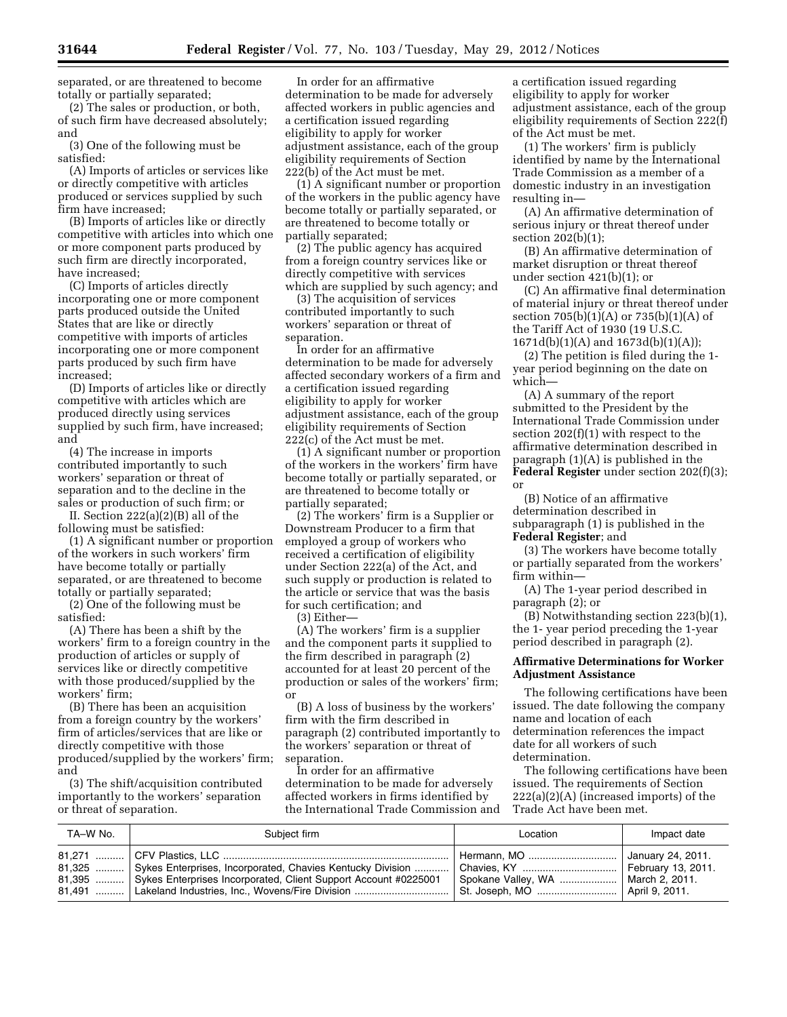separated, or are threatened to become totally or partially separated;

(2) The sales or production, or both, of such firm have decreased absolutely; and

(3) One of the following must be satisfied:

(A) Imports of articles or services like or directly competitive with articles produced or services supplied by such firm have increased;

(B) Imports of articles like or directly competitive with articles into which one or more component parts produced by such firm are directly incorporated, have increased;

(C) Imports of articles directly incorporating one or more component parts produced outside the United States that are like or directly competitive with imports of articles incorporating one or more component parts produced by such firm have increased;

(D) Imports of articles like or directly competitive with articles which are produced directly using services supplied by such firm, have increased; and

(4) The increase in imports contributed importantly to such workers' separation or threat of separation and to the decline in the sales or production of such firm; or

II. Section 222(a)(2)(B) all of the following must be satisfied:

(1) A significant number or proportion of the workers in such workers' firm have become totally or partially separated, or are threatened to become totally or partially separated;

(2) One of the following must be satisfied:

(A) There has been a shift by the workers' firm to a foreign country in the production of articles or supply of services like or directly competitive with those produced/supplied by the workers' firm;

(B) There has been an acquisition from a foreign country by the workers' firm of articles/services that are like or directly competitive with those produced/supplied by the workers' firm; and

(3) The shift/acquisition contributed importantly to the workers' separation or threat of separation.

In order for an affirmative determination to be made for adversely affected workers in public agencies and a certification issued regarding eligibility to apply for worker adjustment assistance, each of the group eligibility requirements of Section 222(b) of the Act must be met.

(1) A significant number or proportion of the workers in the public agency have become totally or partially separated, or are threatened to become totally or partially separated;

(2) The public agency has acquired from a foreign country services like or directly competitive with services which are supplied by such agency; and

(3) The acquisition of services contributed importantly to such workers' separation or threat of separation.

In order for an affirmative determination to be made for adversely affected secondary workers of a firm and a certification issued regarding eligibility to apply for worker adjustment assistance, each of the group eligibility requirements of Section 222(c) of the Act must be met.

(1) A significant number or proportion of the workers in the workers' firm have become totally or partially separated, or are threatened to become totally or partially separated;

(2) The workers' firm is a Supplier or Downstream Producer to a firm that employed a group of workers who received a certification of eligibility under Section 222(a) of the Act, and such supply or production is related to the article or service that was the basis for such certification; and

(3) Either—

(A) The workers' firm is a supplier and the component parts it supplied to the firm described in paragraph (2) accounted for at least 20 percent of the production or sales of the workers' firm; or

(B) A loss of business by the workers' firm with the firm described in paragraph (2) contributed importantly to the workers' separation or threat of separation.

In order for an affirmative determination to be made for adversely affected workers in firms identified by the International Trade Commission and a certification issued regarding eligibility to apply for worker adjustment assistance, each of the group eligibility requirements of Section 222(f) of the Act must be met.

(1) The workers' firm is publicly identified by name by the International Trade Commission as a member of a domestic industry in an investigation resulting in—

(A) An affirmative determination of serious injury or threat thereof under section 202(b)(1);

(B) An affirmative determination of market disruption or threat thereof under section 421(b)(1); or

(C) An affirmative final determination of material injury or threat thereof under section  $705(b)(1)(A)$  or  $735(b)(1)(A)$  of the Tariff Act of 1930 (19 U.S.C. 1671d(b)(1)(A) and 1673d(b)(1)(A));

(2) The petition is filed during the 1 year period beginning on the date on which—

(A) A summary of the report submitted to the President by the International Trade Commission under section 202(f)(1) with respect to the affirmative determination described in paragraph (1)(A) is published in the **Federal Register** under section 202(f)(3); or

(B) Notice of an affirmative determination described in subparagraph (1) is published in the **Federal Register**; and

(3) The workers have become totally or partially separated from the workers' firm within—

(A) The 1-year period described in paragraph (2); or

(B) Notwithstanding section 223(b)(1), the 1- year period preceding the 1-year period described in paragraph (2).

## **Affirmative Determinations for Worker Adjustment Assistance**

The following certifications have been issued. The date following the company name and location of each determination references the impact date for all workers of such determination.

The following certifications have been issued. The requirements of Section 222(a)(2)(A) (increased imports) of the Trade Act have been met.

| TA–W No. | Subiect firm                                                                                                                                                                                                      | Location                       | Impact date |
|----------|-------------------------------------------------------------------------------------------------------------------------------------------------------------------------------------------------------------------|--------------------------------|-------------|
|          | 81,395    Sykes Enterprises Incorporated, Client Support Account #0225001   Spokane Valley, WA    March 2, 2011.<br>81,491    Lakeland Industries, Inc., Wovens/Fire Division    St. Joseph, MO    April 9, 2011. | Hermann, MO  January 24, 2011. |             |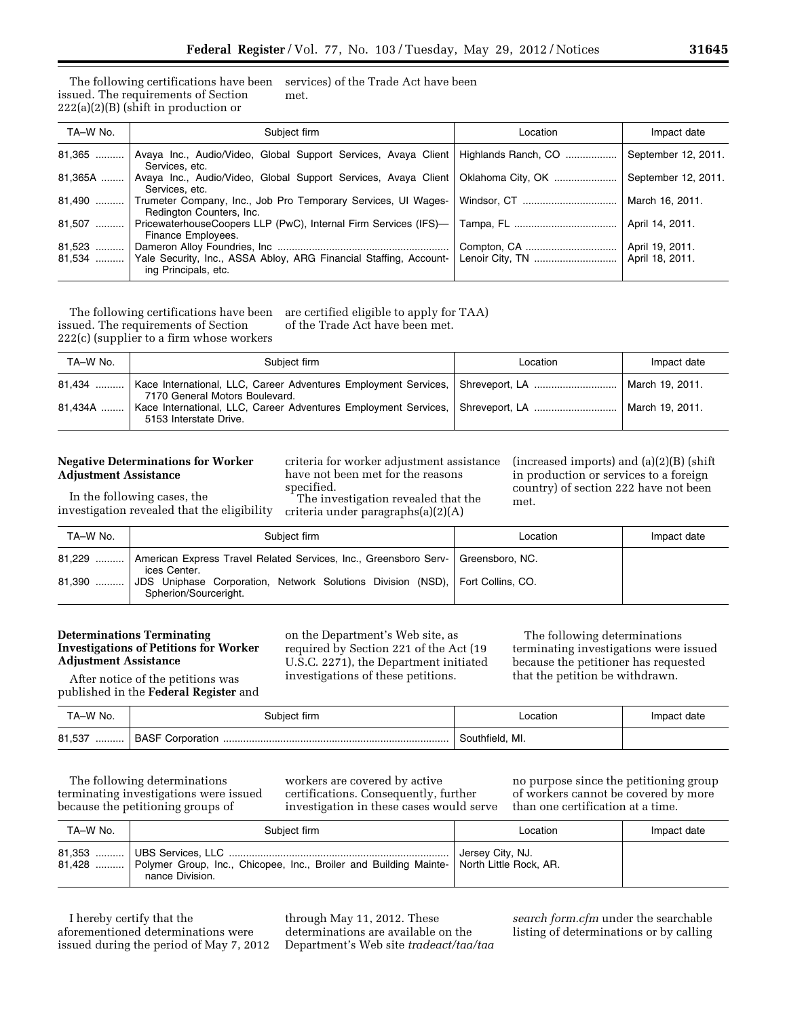#### The following certifications have been issued. The requirements of Section  $222(a)(2)(B)$  (shift in production or services) of the Trade Act have been met.

| TA-W No. | Subject firm                                                                                           | Location | Impact date         |
|----------|--------------------------------------------------------------------------------------------------------|----------|---------------------|
| $81,365$ | Avaya Inc., Audio/Video, Global Support Services, Avaya Client   Highlands Ranch, CO<br>Services, etc. |          | September 12, 2011. |
| 81,365A  | Avaya Inc., Audio/Video, Global Support Services, Avaya Client   Oklahoma City, OK<br>Services, etc.   |          | September 12, 2011. |
| 81,490   | Trumeter Company, Inc., Job Pro Temporary Services, UI Wages-<br>Redington Counters, Inc.              |          | March 16, 2011.     |
| 81,507   | PricewaterhouseCoopers LLP (PwC), Internal Firm Services (IFS)-<br>Finance Employees.                  |          | April 14, 2011.     |
| 81,523   |                                                                                                        |          | April 19, 2011.     |
| $81,534$ | Yale Security, Inc., ASSA Abloy, ARG Financial Staffing, Account-<br>ing Principals, etc.              |          | April 18, 2011.     |

The following certifications have been issued. The requirements of Section 222(c) (supplier to a firm whose workers are certified eligible to apply for TAA) of the Trade Act have been met.

| TA-W No. | Subject firm                                                                                                                        | Location | Impact date     |
|----------|-------------------------------------------------------------------------------------------------------------------------------------|----------|-----------------|
| $81.434$ | Kace International, LLC, Career Adventures Employment Services, Shreveport, LA    March 19, 2011.<br>7170 General Motors Boulevard. |          |                 |
| 81,434A  | Kace International, LLC, Career Adventures Employment Services, Shreveport, LA<br>5153 Interstate Drive.                            |          | March 19, 2011. |

# **Negative Determinations for Worker Adjustment Assistance**

In the following cases, the investigation revealed that the eligibility criteria for worker adjustment assistance have not been met for the reasons specified.

The investigation revealed that the criteria under paragraphs(a)(2)(A)

(increased imports) and (a)(2)(B) (shift in production or services to a foreign country) of section 222 have not been met.

| TA-W No. | Subiect firm                                                                                           | Location | Impact date |
|----------|--------------------------------------------------------------------------------------------------------|----------|-------------|
| 81,229   | American Express Travel Related Services, Inc., Greensboro Serv-   Greensboro, NC.<br>ices Center.     |          |             |
| 81,390   | JDS Uniphase Corporation, Network Solutions Division (NSD), Fort Collins, CO.<br>Spherion/Sourceright. |          |             |

# **Determinations Terminating Investigations of Petitions for Worker Adjustment Assistance**

After notice of the petitions was published in the **Federal Register** and on the Department's Web site, as required by Section 221 of the Act (19 U.S.C. 2271), the Department initiated investigations of these petitions.

The following determinations terminating investigations were issued because the petitioner has requested that the petition be withdrawn.

| TA-W No.    | Subiect firm | ocation            | Impact date |
|-------------|--------------|--------------------|-------------|
| 81,537<br>. |              | MI.<br>Southfield. |             |

The following determinations terminating investigations were issued because the petitioning groups of

workers are covered by active certifications. Consequently, further investigation in these cases would serve no purpose since the petitioning group of workers cannot be covered by more than one certification at a time.

| TA-W No. | Subject firm                                                                                                        | Location         | Impact date |
|----------|---------------------------------------------------------------------------------------------------------------------|------------------|-------------|
|          | 81,428  Polymer Group, Inc., Chicopee, Inc., Broiler and Building Mainte- North Little Rock, AR.<br>nance Division. | Jersey City, NJ. |             |

I hereby certify that the aforementioned determinations were issued during the period of May 7, 2012 through May 11, 2012. These determinations are available on the Department's Web site *tradeact/taa/taa*  *search form.cfm* under the searchable listing of determinations or by calling